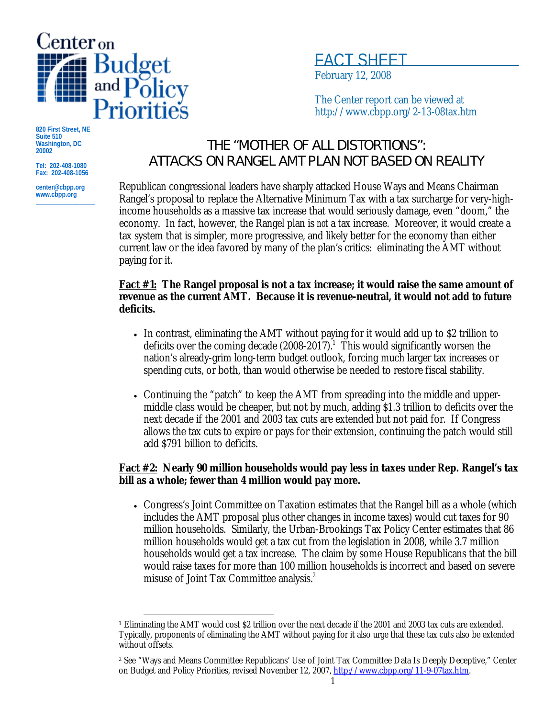

FACT SHEET

February 12, 2008

The Center report can be viewed at http://www.cbpp.org/2-13-08tax.htm

**820 First Street, NE Suite 510 Washington, DC 20002** 

**Tel: 202-408-1080 Fax: 202-408-1056** 

**center@cbpp.org www.cbpp.org \_\_\_\_\_\_\_\_\_\_\_\_\_\_\_\_\_\_**

# THE "MOTHER OF ALL DISTORTIONS": ATTACKS ON RANGEL AMT PLAN NOT BASED ON REALITY

Republican congressional leaders have sharply attacked House Ways and Means Chairman Rangel's proposal to replace the Alternative Minimum Tax with a tax surcharge for very-highincome households as a massive tax increase that would seriously damage, even "doom," the economy. In fact, however, the Rangel plan is *not* a tax increase. Moreover, it would create a tax system that is simpler, more progressive, and likely better for the economy than either current law or the idea favored by many of the plan's critics: eliminating the AMT without paying for it.

#### **Fact #1: The Rangel proposal is not a tax increase; it would raise the same amount of revenue as the current AMT. Because it is revenue-neutral, it would not add to future deficits.**

- In contrast, eliminating the AMT without paying for it would add up to \$2 trillion to deficits over the coming decade  $(2008-2017)$ . This would significantly worsen the nation's already-grim long-term budget outlook, forcing much larger tax increases or spending cuts, or both, than would otherwise be needed to restore fiscal stability.
- Continuing the "patch" to keep the AMT from spreading into the middle and uppermiddle class would be cheaper, but not by much, adding \$1.3 trillion to deficits over the next decade if the 2001 and 2003 tax cuts are extended but not paid for. If Congress allows the tax cuts to expire or pays for their extension, continuing the patch would still add \$791 billion to deficits.

### **Fact #2: Nearly 90 million households would pay less in taxes under Rep. Rangel's tax bill as a whole; fewer than 4 million would pay more.**

• Congress's Joint Committee on Taxation estimates that the Rangel bill as a whole (which includes the AMT proposal plus other changes in income taxes) would cut taxes for 90 million households. Similarly, the Urban-Brookings Tax Policy Center estimates that 86 million households would get a tax cut from the legislation in 2008, while 3.7 million households would get a tax increase. The claim by some House Republicans that the bill would raise taxes for more than 100 million households is incorrect and based on severe misuse of Joint Tax Committee analysis.<sup>2</sup>

 $\overline{a}$ 1 Eliminating the AMT would cost \$2 trillion over the next decade if the 2001 and 2003 tax cuts are extended. Typically, proponents of eliminating the AMT without paying for it also urge that these tax cuts also be extended without offsets.

<sup>2</sup> See "Ways and Means Committee Republicans' Use of Joint Tax Committee Data Is Deeply Deceptive," Center on Budget and Policy Priorities, revised November 12, 2007, http://www.cbpp.org/11-9-07tax.htm.